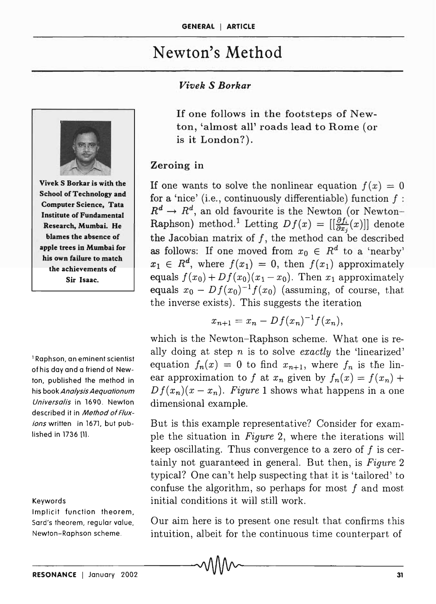# Newton's Method

## *Vivek* S *Borkar*



Vivek S Borkar is with the School of Technology and Computer Science, Tata Institute of Fundamental Research, Mumbai. He blames the absence of apple trees in Mumbai for his own failure to match the achievements of Sir Isaac.

I Raphson, an eminent scientist of his day and a friend of Newton, published the method in his book Analysis Aequationum Universalis in 1690. Newton described it in Method of Fluxions written in 1671, but published in 1736 (l}.

#### Keywords

Implicit function theorem, Sard's theorem, regular value, Newton-Raphson scheme.

If one follows in the footsteps of Newton, 'almost all' roads lead to Rome (or is it London?).

## Zeroing in

If one wants to solve the nonlinear equation  $f(x) = 0$ for a 'nice' (i.e., continuously differentiable) function  $f$ :  $R^d \to R^d$ , an old favourite is the Newton (or Newton-Raphson) method.<sup>1</sup> Letting  $Df(x) = \left[\left[\frac{\partial f_i}{\partial x_i}(x)\right]\right]$  denote the Jacobian matrix of  $f$ , the method can be described as follows: If one moved from  $x_0 \in R^d$  to a 'nearby'  $x_1 \in R^d$ , where  $f(x_1) = 0$ , then  $f(x_1)$  approximately equals  $f(x_0) + Df(x_0)(x_1 - x_0)$ . Then  $x_1$  approximately equals  $x_0 - Df(x_0)^{-1}f(x_0)$  (assuming, of course, that the inverse exists). This suggests the iteration

$$
x_{n+1} = x_n - Df(x_n)^{-1}f(x_n),
$$

which is the Newton-Raphson scheme. What one is really doing at step *n* is to solve *exactly* the 'linearized' equation  $f_n(x) = 0$  to find  $x_{n+1}$ , where  $f_n$  is the linear approximation to *f* at  $x_n$  given by  $f_n(x) = f(x_n) +$  $D f(x_n)(x - x_n)$ . Figure 1 shows what happens in a one dimensional example.

But is this example representative? Consider for example the situation in *Figure* 2, where the iterations will keep oscillating. Thus convergence to a zero of  $f$  is certainly not guaranteed in general. But then, is *Figure 2* typical? One can't help suspecting that it is 'tailored' to confuse the algorithm, so perhaps for most  $f$  and most initial conditions it will still work.

Our aim here is to present one result that confirms this intuition, albeit for the continuous time counterpart of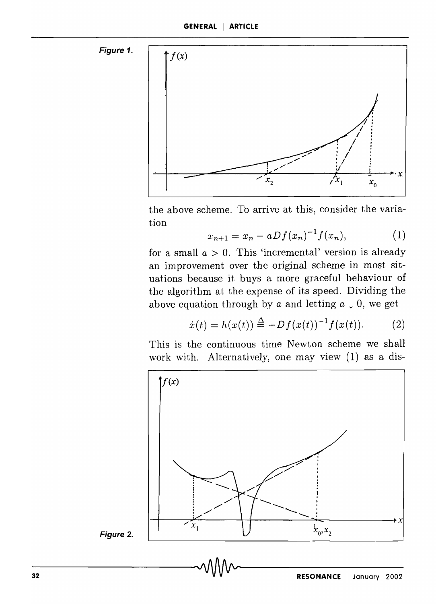



the above scheme. To arrive at this, consider the variation

$$
x_{n+1} = x_n - aDf(x_n)^{-1}f(x_n), \qquad (1)
$$

for a small  $a > 0$ . This 'incremental' version is already an improvement over the original scheme in most situations because it buys a more graceful behaviour of the algorithm at the expense of its speed. Dividing the above equation through by *a* and letting  $a \downarrow 0$ , we get

$$
\dot{x}(t) = h(x(t)) \stackrel{\Delta}{=} -Df(x(t))^{-1}f(x(t)).
$$
 (2)

This is the continuous time Newton scheme we shall work with. Alternatively, one may view (1) as a dis-



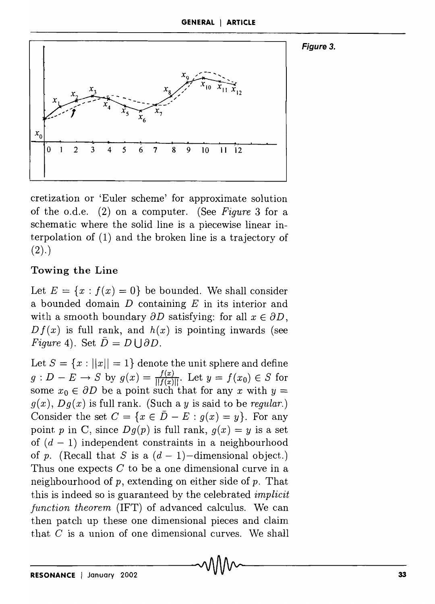#### Figure 3.



cretization or 'Euler scheme' for approximate solution of the o.d.e. (2) on a computer. (See *Figure* 3 for a schematic where the solid line is a piecewise linear interpolation of (1) and the broken line is a trajectory of  $(2).$ 

# **Towing the Line**

Let  $E = \{x : f(x) = 0\}$  be bounded. We shall consider a bounded domain *D* containing *E* in its interior and with a smooth boundary  $\partial D$  satisfying: for all  $x \in \partial D$ ,  $Df(x)$  is full rank, and  $h(x)$  is pointing inwards (see *Figure 4*). Set  $\overline{D} = D \cup \partial D$ .

Let  $S = \{x : ||x|| = 1\}$  denote the unit sphere and define  $g: D - E \rightarrow S$  by  $g(x) = \frac{f(x)}{||f(x)||}$ . Let  $y = f(x_0) \in S$  for some  $x_0 \in \partial D$  be a point such that for any x with  $y =$  $g(x)$ ,  $Dg(x)$  is full rank. (Such a *y* is said to be *regular*.) Consider the set  $C = \{x \in \overline{D} - E : g(x) = y\}$ . For any point *p* in C, since  $Dq(p)$  is full rank,  $q(x) = y$  is a set of  $(d - 1)$  independent constraints in a neighbourhood of p. (Recall that S is a  $(d-1)$ -dimensional object.) Thus one expects  $C$  to be a one dimensional curve in a neighbourhood of  $p$ , extending on either side of  $p$ . That this is indeed so is guaranteed by the celebrated *implicit function theorem* (1FT) of advanced calculus. We can then patch up these one dimensional pieces and claim that  $C$  is a union of one dimensional curves. We shall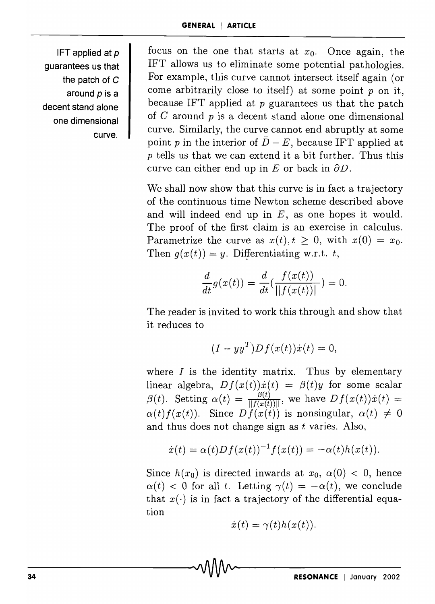IFT applied at  $p$ guarantees us that the patch of C around *p* is a decent stand alone one dimensional curve.

focus on the one that starts at  $x_0$ . Once again, the 1FT allows us to eliminate some potential pathologies. For example, this curve cannot intersect itself again (or come arbitrarily close to itself) at some point  $p$  on it, because IFT applied at  $p$  guarantees us that the patch of  $C$  around  $p$  is a decent stand alone one dimensional curve. Similarly, the curve cannot end abruptly at some point p in the interior of  $\bar{D} - E$ , because IFT applied at p tells us that we can extend it a bit further. Thus this curve can either end up in  $E$  or back in  $\partial D$ .

We shall now show that this curve is in fact a trajectory of the continuous time Newton scheme described above and will indeed end up in  $E$ , as one hopes it would. The proof of the first claim is an exercise in calculus. Parametrize the curve as  $x(t), t \geq 0$ , with  $x(0) = x_0$ . Then  $g(x(t)) = y$ . Differentiating w.r.t. *t*,

$$
\frac{d}{dt}g(x(t)) = \frac{d}{dt}(\frac{f(x(t))}{||f(x(t))||}) = 0.
$$

The reader is invited to work this through and show that it reduces to

$$
(I - yy^T)Df(x(t))\dot{x}(t) = 0,
$$

where  $I$  is the identity matrix. Thus by elementary linear algebra,  $Df(x(t))\dot{x}(t) = \beta(t)y$  for some scalar *j*<sub>(t)</sub>, setting  $\alpha(t) = \frac{\beta(t)}{\|f(x(t))\|}$ , we have  $Df(x(t))\dot{x}(t) =$  $\beta(t)$ . Setting  $\alpha(t) = \frac{\beta(t)}{\|f(x(t))\|}$ , we have  $Df(x(t))\dot{x}(t) = \alpha(t)f(x(t))$ . Since  $Df(x(t))$  is nonsingular,  $\alpha(t) \neq 0$ and thus does not change sign as *t* varies. Also,

$$
\dot{x}(t) = \alpha(t)Df(x(t))^{-1}f(x(t)) = -\alpha(t)h(x(t)).
$$

Since  $h(x_0)$  is directed inwards at  $x_0$ ,  $\alpha(0)$  < 0, hence  $\alpha(t)$  < 0 for all *t*. Letting  $\gamma(t) = -\alpha(t)$ , we conclude that  $x(\cdot)$  is in fact a trajectory of the differential equation

$$
\dot{x}(t)=\gamma(t)h(x(t)).
$$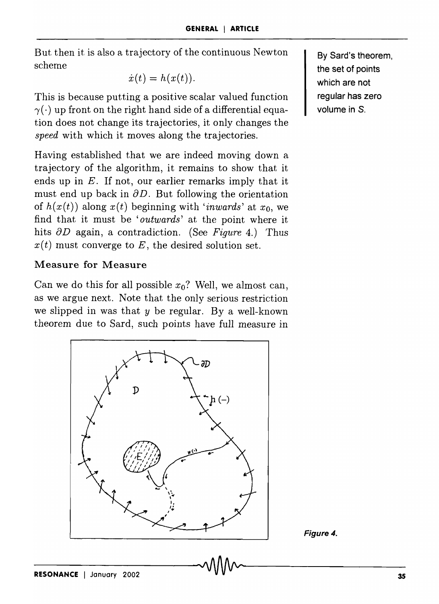But then it is also a trajectory of the continuous Newton scheme

$$
\dot{x}(t) = h(x(t)).
$$

This is because putting a positive scalar valued function  $\gamma(\cdot)$  up front on the right hand side of a differential equation does not change its trajectories, it only changes the *speed* with which it moves along the trajectories.

Having established that we are indeed moving down a trajectory of the algorithm, it remains to show that it ends up in *E.* If not, our earlier remarks imply that it must end up back in  $\partial D$ . But following the orientation of  $h(x(t))$  along  $x(t)$  beginning with *'inwards'* at  $x_0$ , we find that it must be *'outwards'* at the point where it hits  $\partial D$  again, a contradiction. (See *Figure 4.*) Thus  $x(t)$  must converge to E, the desired solution set.

## Measure for Measure

Can we do this for all possible  $x_0$ ? Well, we almost can, as we argue next. Note that the only serious restriction we slipped in was that *y* be regular. By a well-known theorem due to Sard, such points have full measure in



By Sard's theorem, the set of points which are not regular has zero volume in S.

Figure 4.